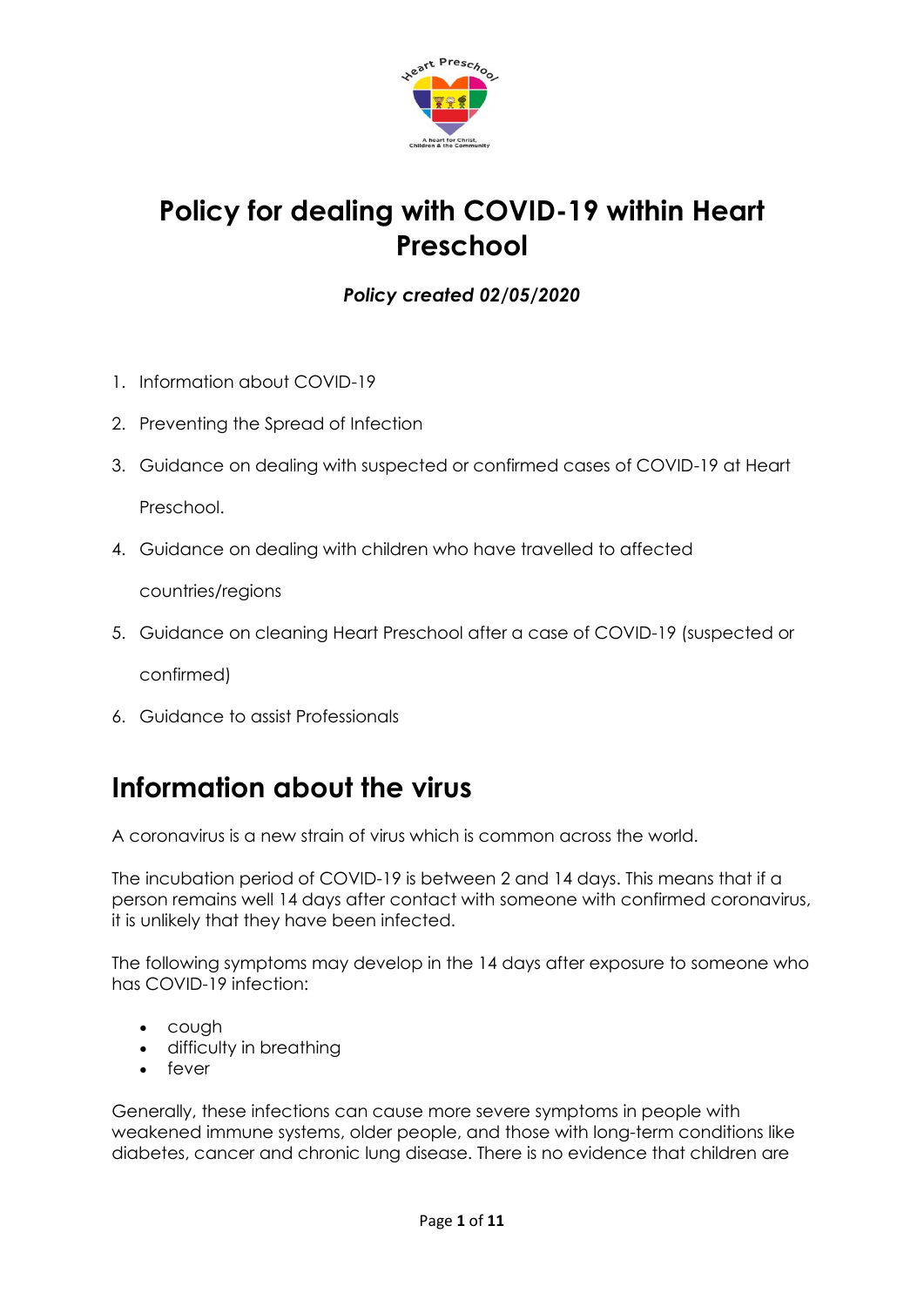

## **Policy for dealing with COVID-19 within Heart Preschool**

### *Policy created 02/05/2020*

- 1. Information about COVID-19
- 2. Preventing the Spread of Infection
- 3. Guidance on dealing with suspected or confirmed cases of COVID-19 at Heart Preschool.
- 4. Guidance on dealing with children who have travelled to affected

countries/regions

5. Guidance on cleaning Heart Preschool after a case of COVID-19 (suspected or

confirmed)

6. Guidance to assist Professionals

### **Information about the virus**

A coronavirus is a new strain of virus which is common across the world.

The incubation period of COVID-19 is between 2 and 14 days. This means that if a person remains well 14 days after contact with someone with confirmed coronavirus, it is unlikely that they have been infected.

The following symptoms may develop in the 14 days after exposure to someone who has COVID-19 infection:

- cough
- difficulty in breathing
- fever

Generally, these infections can cause more severe symptoms in people with weakened immune systems, older people, and those with long-term conditions like diabetes, cancer and chronic lung disease. There is no evidence that children are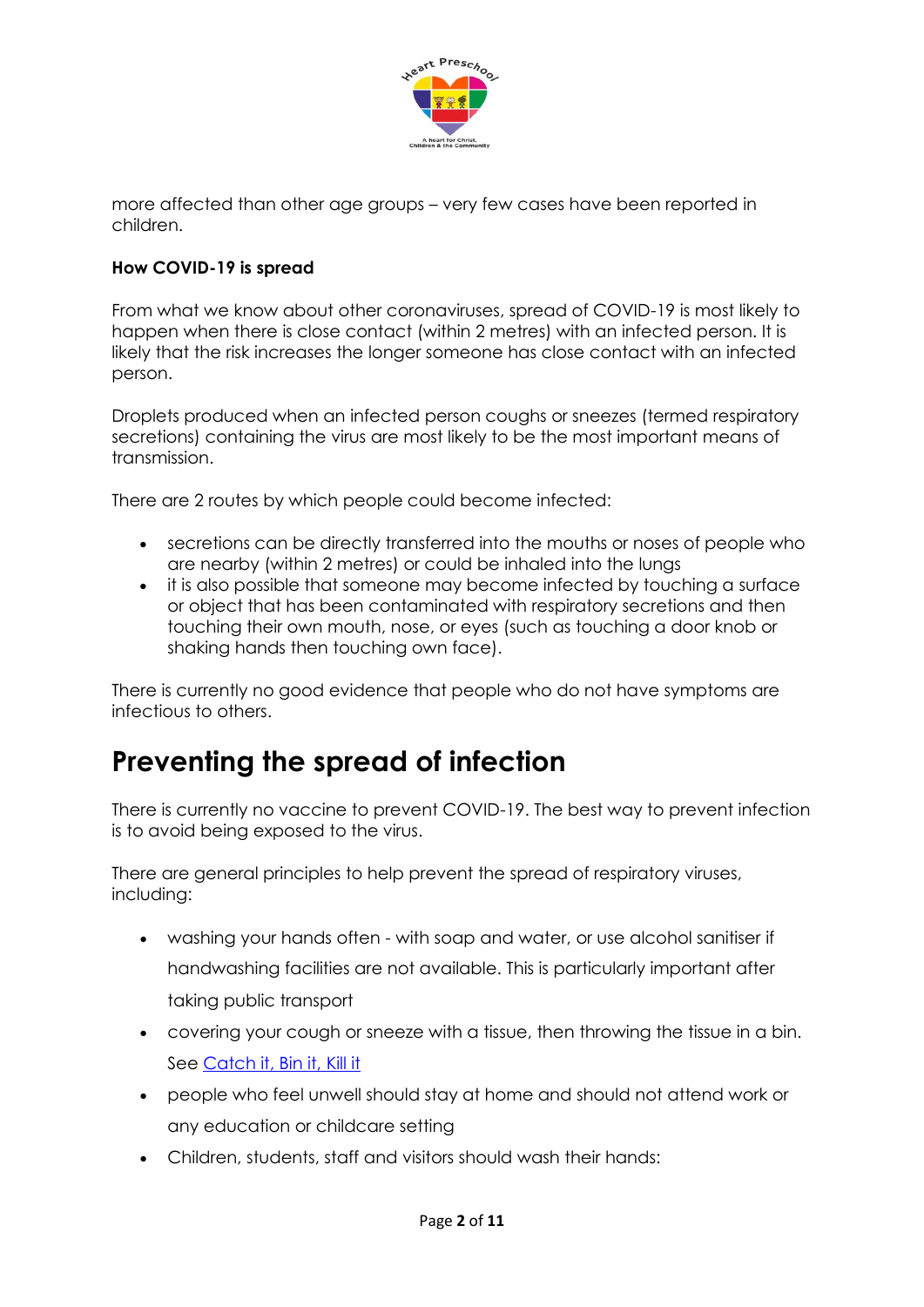

more affected than other age groups – very few cases have been reported in children.

#### **How COVID-19 is spread**

From what we know about other coronaviruses, spread of COVID-19 is most likely to happen when there is close contact (within 2 metres) with an infected person. It is likely that the risk increases the longer someone has close contact with an infected person.

Droplets produced when an infected person coughs or sneezes (termed respiratory secretions) containing the virus are most likely to be the most important means of transmission.

There are 2 routes by which people could become infected:

- secretions can be directly transferred into the mouths or noses of people who are nearby (within 2 metres) or could be inhaled into the lungs
- it is also possible that someone may become infected by touching a surface or object that has been contaminated with respiratory secretions and then touching their own mouth, nose, or eyes (such as touching a door knob or shaking hands then touching own face).

There is currently no good evidence that people who do not have symptoms are infectious to others.

### **Preventing the spread of infection**

There is currently no vaccine to prevent COVID-19. The best way to prevent infection is to avoid being exposed to the virus.

There are general principles to help prevent the spread of respiratory viruses, including:

- washing your hands often with soap and water, or use alcohol sanitiser if handwashing facilities are not available. This is particularly important after taking public transport
- covering your cough or sneeze with a tissue, then throwing the tissue in a bin. See [Catch it, Bin it, Kill it](https://campaignresources.phe.gov.uk/resources/campaigns/101/resources/5016)
- people who feel unwell should stay at home and should not attend work or any education or childcare setting
- Children, students, staff and visitors should wash their hands: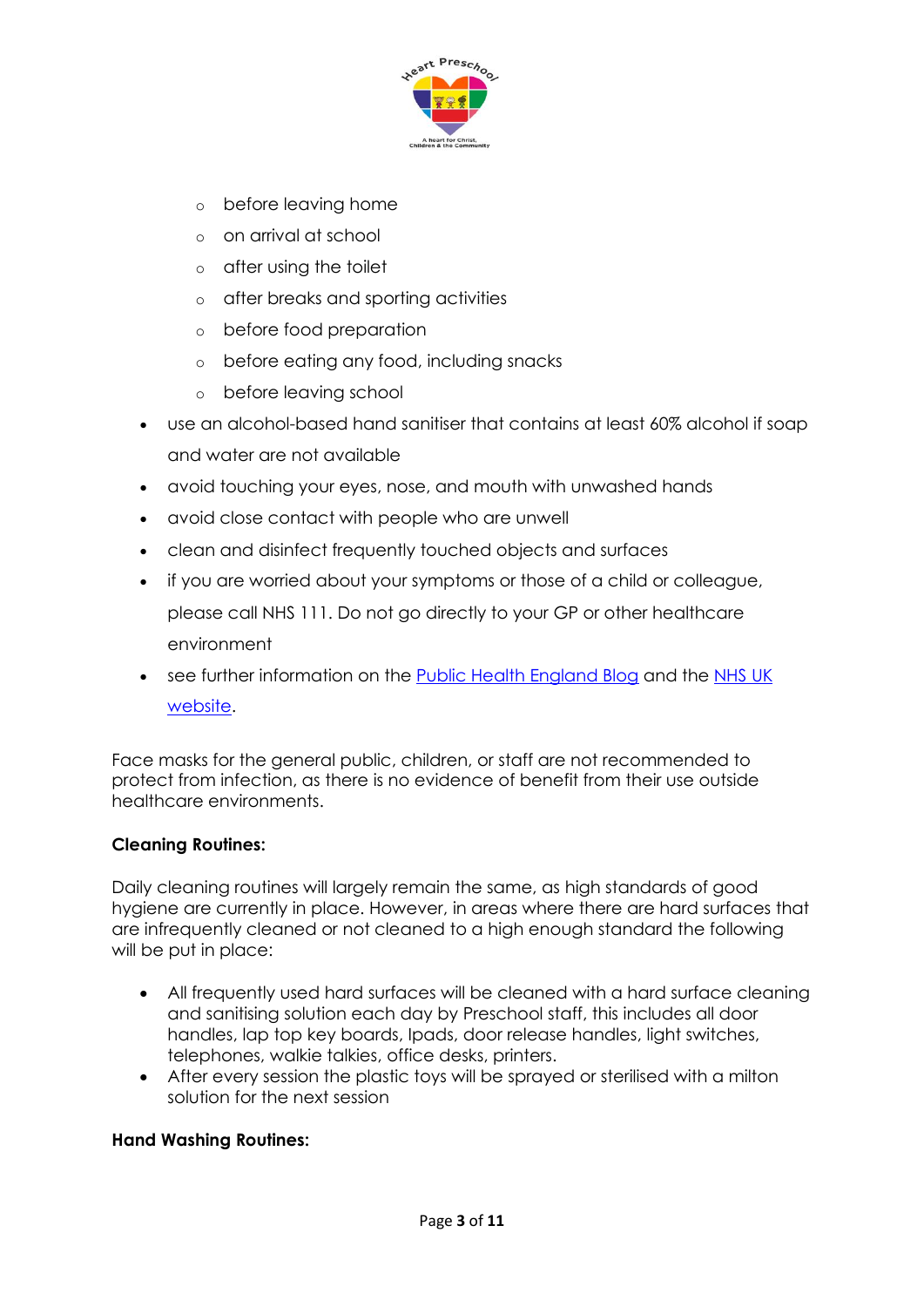

- o before leaving home
- o on arrival at school
- o after using the toilet
- o after breaks and sporting activities
- o before food preparation
- o before eating any food, including snacks
- o before leaving school
- use an alcohol-based hand sanitiser that contains at least 60% alcohol if soap and water are not available
- avoid touching your eyes, nose, and mouth with unwashed hands
- avoid close contact with people who are unwell
- clean and disinfect frequently touched objects and surfaces
- if you are worried about your symptoms or those of a child or colleague, please call NHS 111. Do not go directly to your GP or other healthcare environment
- see further information on the [Public Health England Blog](https://publichealthmatters.blog.gov.uk/2020/01/23/wuhan-novel-coronavirus-what-you-need-to-know/) and the [NHS UK](https://www.nhs.uk/conditions/coronavirus-covid-19/)  [website.](https://www.nhs.uk/conditions/coronavirus-covid-19/)

Face masks for the general public, children, or staff are not recommended to protect from infection, as there is no evidence of benefit from their use outside healthcare environments.

#### **Cleaning Routines:**

Daily cleaning routines will largely remain the same, as high standards of good hygiene are currently in place. However, in areas where there are hard surfaces that are infrequently cleaned or not cleaned to a high enough standard the following will be put in place:

- All frequently used hard surfaces will be cleaned with a hard surface cleaning and sanitising solution each day by Preschool staff, this includes all door handles, lap top key boards, Ipads, door release handles, light switches, telephones, walkie talkies, office desks, printers.
- After every session the plastic toys will be sprayed or sterilised with a milton solution for the next session

#### **Hand Washing Routines:**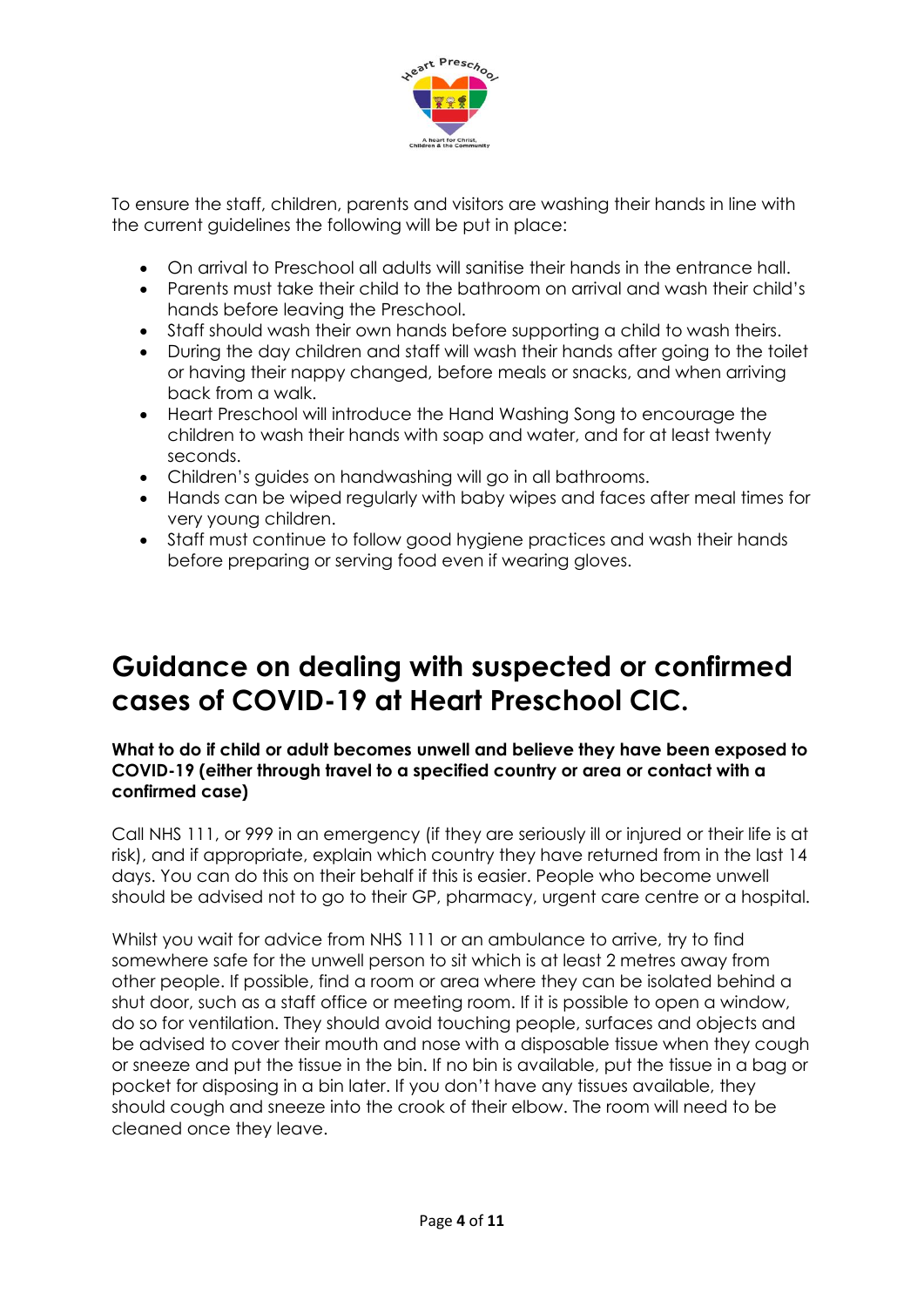

To ensure the staff, children, parents and visitors are washing their hands in line with the current guidelines the following will be put in place:

- On arrival to Preschool all adults will sanitise their hands in the entrance hall.
- Parents must take their child to the bathroom on arrival and wash their child's hands before leaving the Preschool.
- Staff should wash their own hands before supporting a child to wash theirs.
- During the day children and staff will wash their hands after going to the toilet or having their nappy changed, before meals or snacks, and when arriving back from a walk.
- Heart Preschool will introduce the Hand Washing Song to encourage the children to wash their hands with soap and water, and for at least twenty seconds.
- Children's guides on handwashing will go in all bathrooms.
- Hands can be wiped regularly with baby wipes and faces after meal times for very young children.
- Staff must continue to follow good hygiene practices and wash their hands before preparing or serving food even if wearing gloves.

### **Guidance on dealing with suspected or confirmed cases of COVID-19 at Heart Preschool CIC.**

#### **What to do if child or adult becomes unwell and believe they have been exposed to COVID-19 (either through travel to a specified country or area or contact with a confirmed case)**

Call NHS 111, or 999 in an emergency (if they are seriously ill or injured or their life is at risk), and if appropriate, explain which country they have returned from in the last 14 days. You can do this on their behalf if this is easier. People who become unwell should be advised not to go to their GP, pharmacy, urgent care centre or a hospital.

Whilst you wait for advice from NHS 111 or an ambulance to arrive, try to find somewhere safe for the unwell person to sit which is at least 2 metres away from other people. If possible, find a room or area where they can be isolated behind a shut door, such as a staff office or meeting room. If it is possible to open a window, do so for ventilation. They should avoid touching people, surfaces and objects and be advised to cover their mouth and nose with a disposable tissue when they cough or sneeze and put the tissue in the bin. If no bin is available, put the tissue in a bag or pocket for disposing in a bin later. If you don't have any tissues available, they should cough and sneeze into the crook of their elbow. The room will need to be cleaned once they leave.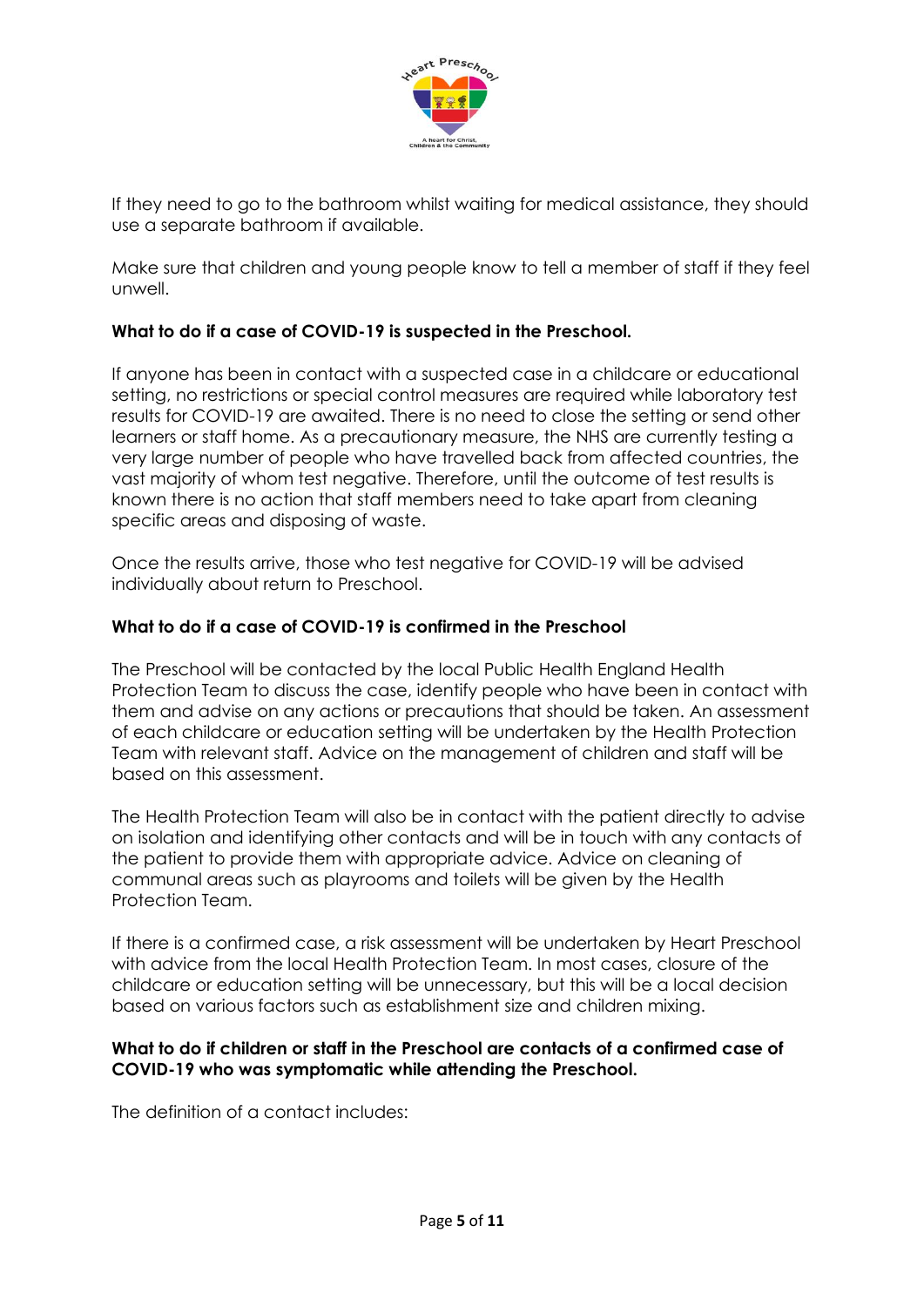

If they need to go to the bathroom whilst waiting for medical assistance, they should use a separate bathroom if available.

Make sure that children and young people know to tell a member of staff if they feel unwell.

#### **What to do if a case of COVID-19 is suspected in the Preschool.**

If anyone has been in contact with a suspected case in a childcare or educational setting, no restrictions or special control measures are required while laboratory test results for COVID-19 are awaited. There is no need to close the setting or send other learners or staff home. As a precautionary measure, the NHS are currently testing a very large number of people who have travelled back from affected countries, the vast majority of whom test negative. Therefore, until the outcome of test results is known there is no action that staff members need to take apart from cleaning specific areas and disposing of waste.

Once the results arrive, those who test negative for COVID-19 will be advised individually about return to Preschool.

#### **What to do if a case of COVID-19 is confirmed in the Preschool**

The Preschool will be contacted by the local Public Health England Health Protection Team to discuss the case, identify people who have been in contact with them and advise on any actions or precautions that should be taken. An assessment of each childcare or education setting will be undertaken by the Health Protection Team with relevant staff. Advice on the management of children and staff will be based on this assessment.

The Health Protection Team will also be in contact with the patient directly to advise on isolation and identifying other contacts and will be in touch with any contacts of the patient to provide them with appropriate advice. Advice on cleaning of communal areas such as playrooms and toilets will be given by the Health Protection Team.

If there is a confirmed case, a risk assessment will be undertaken by Heart Preschool with advice from the local Health Protection Team. In most cases, closure of the childcare or education setting will be unnecessary, but this will be a local decision based on various factors such as establishment size and children mixing.

#### **What to do if children or staff in the Preschool are contacts of a confirmed case of COVID-19 who was symptomatic while attending the Preschool.**

The definition of a contact includes: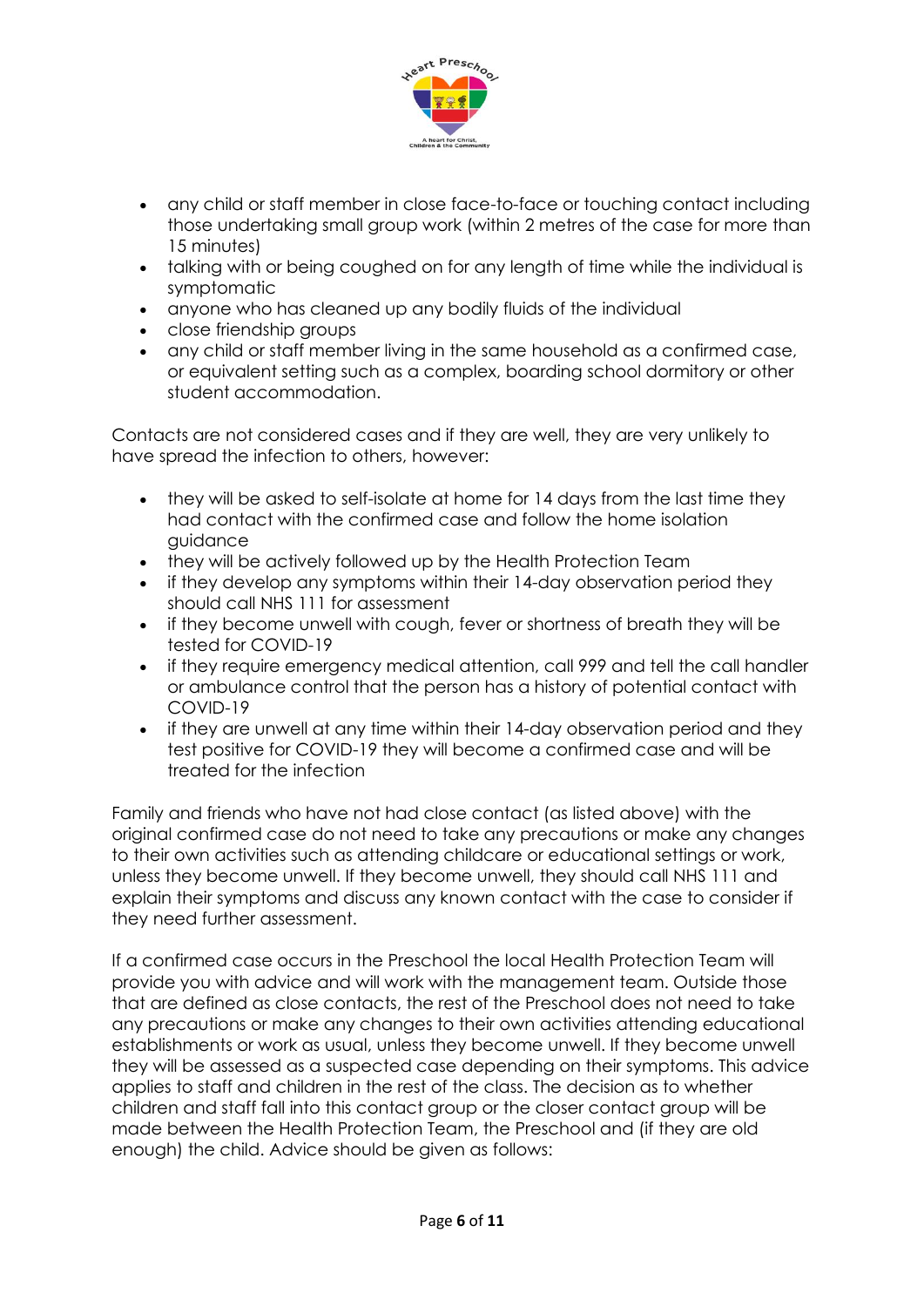

- any child or staff member in close face-to-face or touching contact including those undertaking small group work (within 2 metres of the case for more than 15 minutes)
- talking with or being coughed on for any length of time while the individual is symptomatic
- anyone who has cleaned up any bodily fluids of the individual
- close friendship groups
- any child or staff member living in the same household as a confirmed case, or equivalent setting such as a complex, boarding school dormitory or other student accommodation.

Contacts are not considered cases and if they are well, they are very unlikely to have spread the infection to others, however:

- they will be asked to self-isolate at home for 14 days from the last time they had contact with the confirmed case and follow the home isolation guidance
- they will be actively followed up by the Health Protection Team
- if they develop any symptoms within their 14-day observation period they should call NHS 111 for assessment
- if they become unwell with cough, fever or shortness of breath they will be tested for COVID-19
- if they require emergency medical attention, call 999 and tell the call handler or ambulance control that the person has a history of potential contact with COVID-19
- if they are unwell at any time within their 14-day observation period and they test positive for COVID-19 they will become a confirmed case and will be treated for the infection

Family and friends who have not had close contact (as listed above) with the original confirmed case do not need to take any precautions or make any changes to their own activities such as attending childcare or educational settings or work, unless they become unwell. If they become unwell, they should call NHS 111 and explain their symptoms and discuss any known contact with the case to consider if they need further assessment.

If a confirmed case occurs in the Preschool the local Health Protection Team will provide you with advice and will work with the management team. Outside those that are defined as close contacts, the rest of the Preschool does not need to take any precautions or make any changes to their own activities attending educational establishments or work as usual, unless they become unwell. If they become unwell they will be assessed as a suspected case depending on their symptoms. This advice applies to staff and children in the rest of the class. The decision as to whether children and staff fall into this contact group or the closer contact group will be made between the Health Protection Team, the Preschool and (if they are old enough) the child. Advice should be given as follows: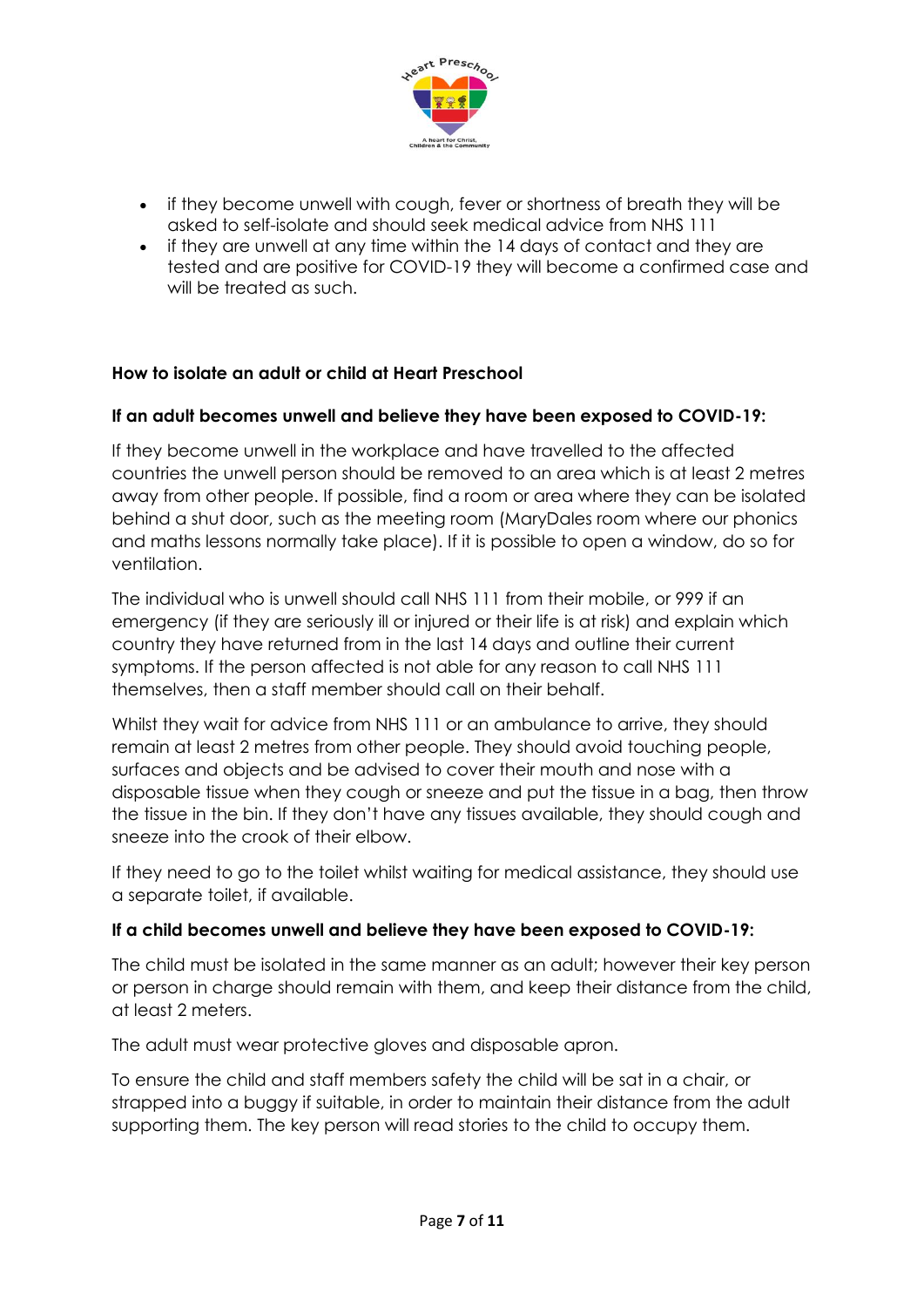

- if they become unwell with cough, fever or shortness of breath they will be asked to self-isolate and should seek medical advice from NHS 111
- if they are unwell at any time within the 14 days of contact and they are tested and are positive for COVID-19 they will become a confirmed case and will be treated as such.

#### **How to isolate an adult or child at Heart Preschool**

#### **If an adult becomes unwell and believe they have been exposed to COVID-19:**

If they become unwell in the workplace and have travelled to the affected countries the unwell person should be removed to an area which is at least 2 metres away from other people. If possible, find a room or area where they can be isolated behind a shut door, such as the meeting room (MaryDales room where our phonics and maths lessons normally take place). If it is possible to open a window, do so for ventilation.

The individual who is unwell should call NHS 111 from their mobile, or 999 if an emergency (if they are seriously ill or injured or their life is at risk) and explain which country they have returned from in the last 14 days and outline their current symptoms. If the person affected is not able for any reason to call NHS 111 themselves, then a staff member should call on their behalf.

Whilst they wait for advice from NHS 111 or an ambulance to arrive, they should remain at least 2 metres from other people. They should avoid touching people, surfaces and objects and be advised to cover their mouth and nose with a disposable tissue when they cough or sneeze and put the tissue in a bag, then throw the tissue in the bin. If they don't have any tissues available, they should cough and sneeze into the crook of their elbow.

If they need to go to the toilet whilst waiting for medical assistance, they should use a separate toilet, if available.

#### **If a child becomes unwell and believe they have been exposed to COVID-19:**

The child must be isolated in the same manner as an adult; however their key person or person in charge should remain with them, and keep their distance from the child, at least 2 meters.

The adult must wear protective gloves and disposable apron.

To ensure the child and staff members safety the child will be sat in a chair, or strapped into a buggy if suitable, in order to maintain their distance from the adult supporting them. The key person will read stories to the child to occupy them.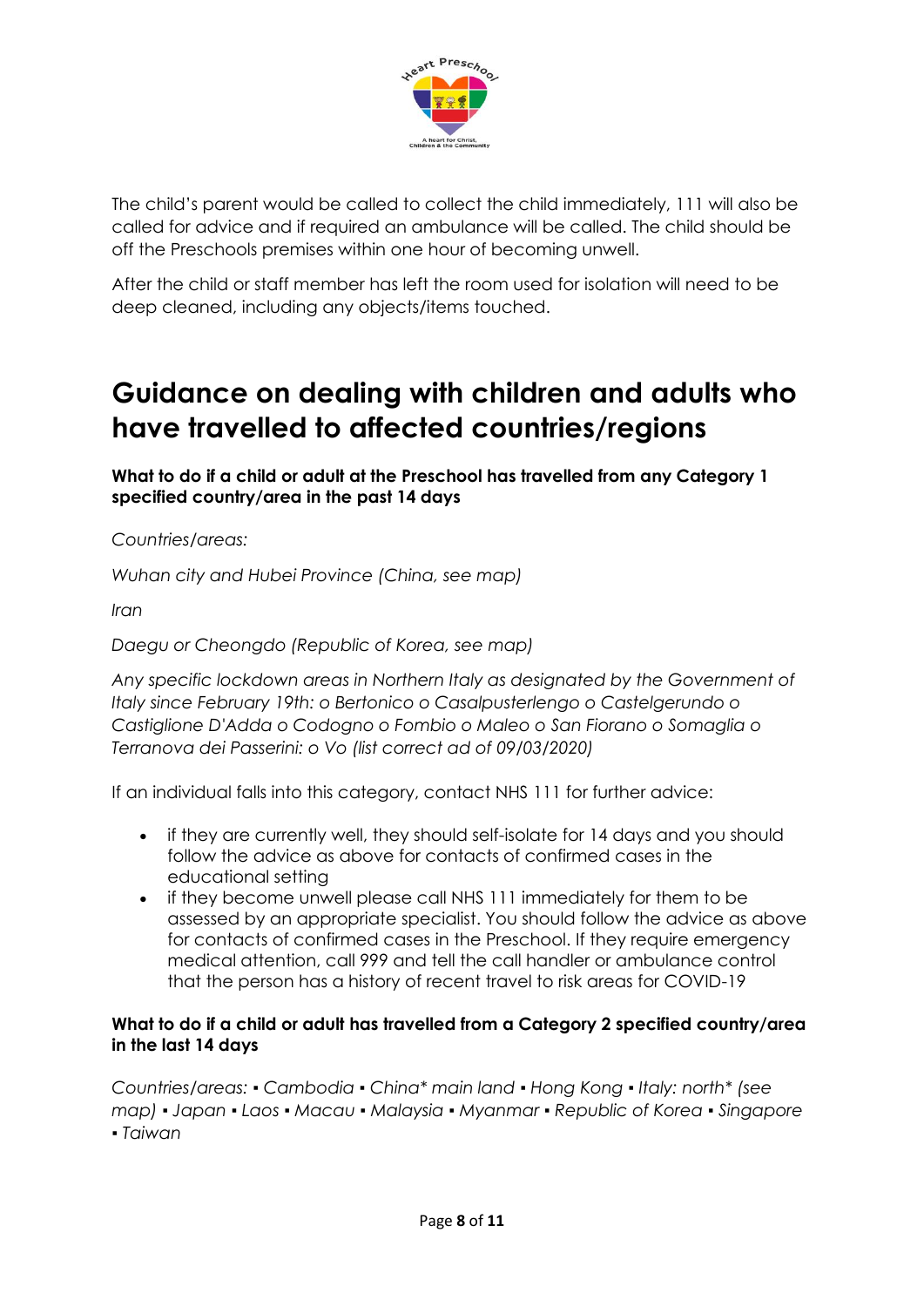

The child's parent would be called to collect the child immediately, 111 will also be called for advice and if required an ambulance will be called. The child should be off the Preschools premises within one hour of becoming unwell.

After the child or staff member has left the room used for isolation will need to be deep cleaned, including any objects/items touched.

### **Guidance on dealing with children and adults who have travelled to affected countries/regions**

**What to do if a child or adult at the Preschool has travelled from any [Category 1](https://www.gov.uk/government/publications/covid-19-specified-countries-and-areas)  [specified country/area](https://www.gov.uk/government/publications/covid-19-specified-countries-and-areas) in the past 14 days**

*Countries/areas:* 

*Wuhan city and Hubei Province (China, see map)*

*Iran* 

*Daegu or Cheongdo (Republic of Korea, see map)* 

*Any specific lockdown areas in Northern Italy as designated by the Government of Italy since February 19th: o Bertonico o Casalpusterlengo o Castelgerundo o Castiglione D'Adda o Codogno o Fombio o Maleo o San Fiorano o Somaglia o Terranova dei Passerini: o Vo (list correct ad of 09/03/2020)*

If an individual falls into this category, contact NHS 111 for further advice:

- if they are currently well, they should self-isolate for 14 days and you should follow the advice as above for contacts of confirmed cases in the educational setting
- if they become unwell please call NHS 111 immediately for them to be assessed by an appropriate specialist. You should follow the advice as above for contacts of confirmed cases in the Preschool. If they require emergency medical attention, call 999 and tell the call handler or ambulance control that the person has a history of recent travel to risk areas for COVID-19

#### **What to do if a child or adult has travelled from a Category 2 specified country/area in the last 14 days**

*Countries/areas: ▪ Cambodia ▪ China\* main land ▪ Hong Kong ▪ Italy: north\* (see map) ▪ Japan ▪ Laos ▪ Macau ▪ Malaysia ▪ Myanmar ▪ Republic of Korea ▪ Singapore ▪ Taiwan*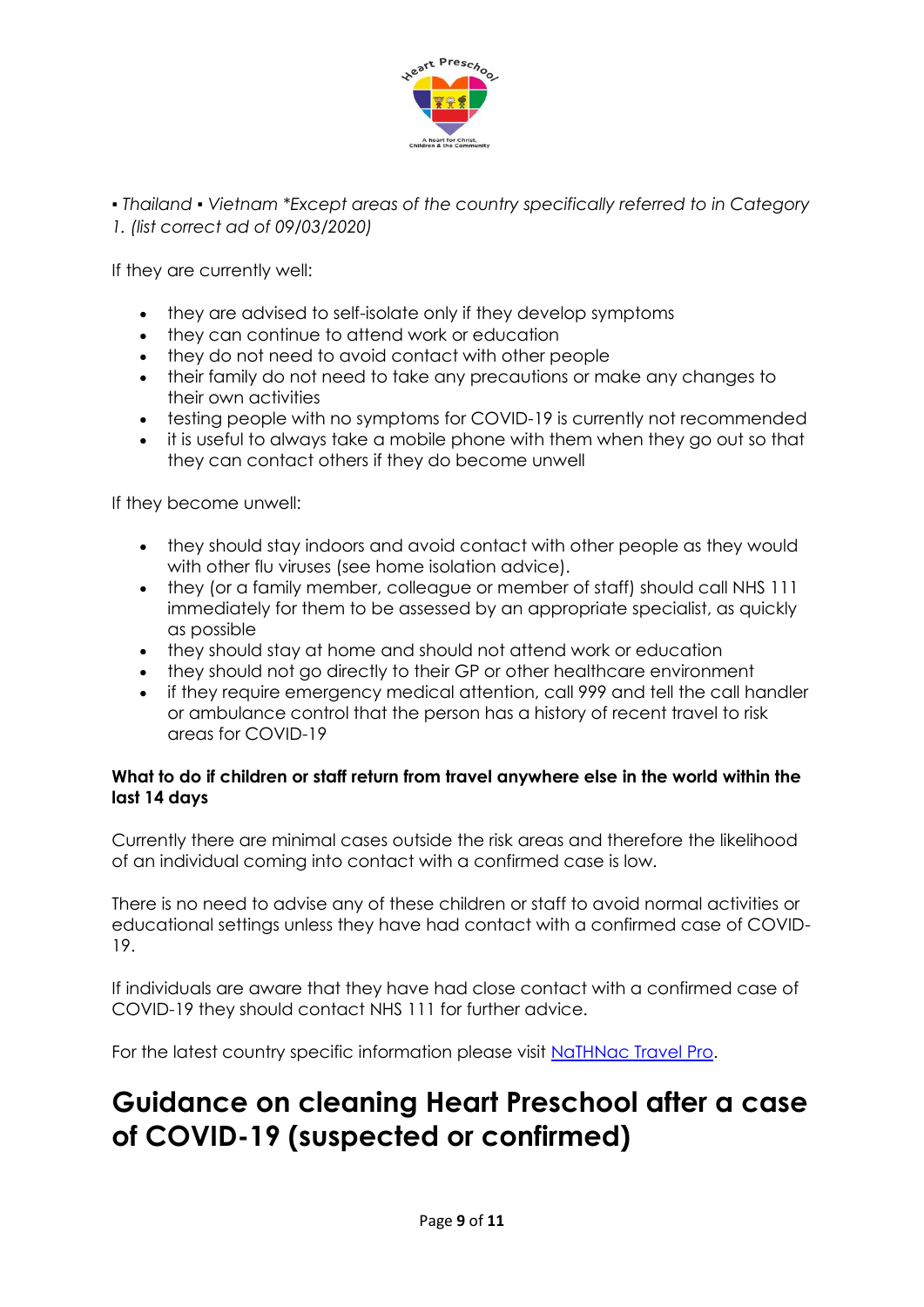

*▪ Thailand ▪ Vietnam \*Except areas of the country specifically referred to in Category 1. (list correct ad of 09/03/2020)*

If they are currently well:

- they are advised to self-isolate only if they develop symptoms
- they can continue to attend work or education
- they do not need to avoid contact with other people
- their family do not need to take any precautions or make any changes to their own activities
- testing people with no symptoms for COVID-19 is currently not recommended
- it is useful to always take a mobile phone with them when they go out so that they can contact others if they do become unwell

If they become unwell:

- they should stay indoors and avoid contact with other people as they would with other flu viruses (see home isolation advice).
- they (or a family member, colleague or member of staff) should call NHS 111 immediately for them to be assessed by an appropriate specialist, as quickly as possible
- they should stay at home and should not attend work or education
- they should not go directly to their GP or other healthcare environment
- if they require emergency medical attention, call 999 and tell the call handler or ambulance control that the person has a history of recent travel to risk areas for COVID-19

#### **What to do if children or staff return from travel anywhere else in the world within the last 14 days**

Currently there are minimal cases outside the risk areas and therefore the likelihood of an individual coming into contact with a confirmed case is low.

There is no need to advise any of these children or staff to avoid normal activities or educational settings unless they have had contact with a confirmed case of COVID-19.

If individuals are aware that they have had close contact with a confirmed case of COVID-19 they should contact NHS 111 for further advice.

For the latest country specific information please visit [NaTHNac Travel Pro.](https://travelhealthpro.org.uk/countries)

### **Guidance on cleaning Heart Preschool after a case of COVID-19 (suspected or confirmed)**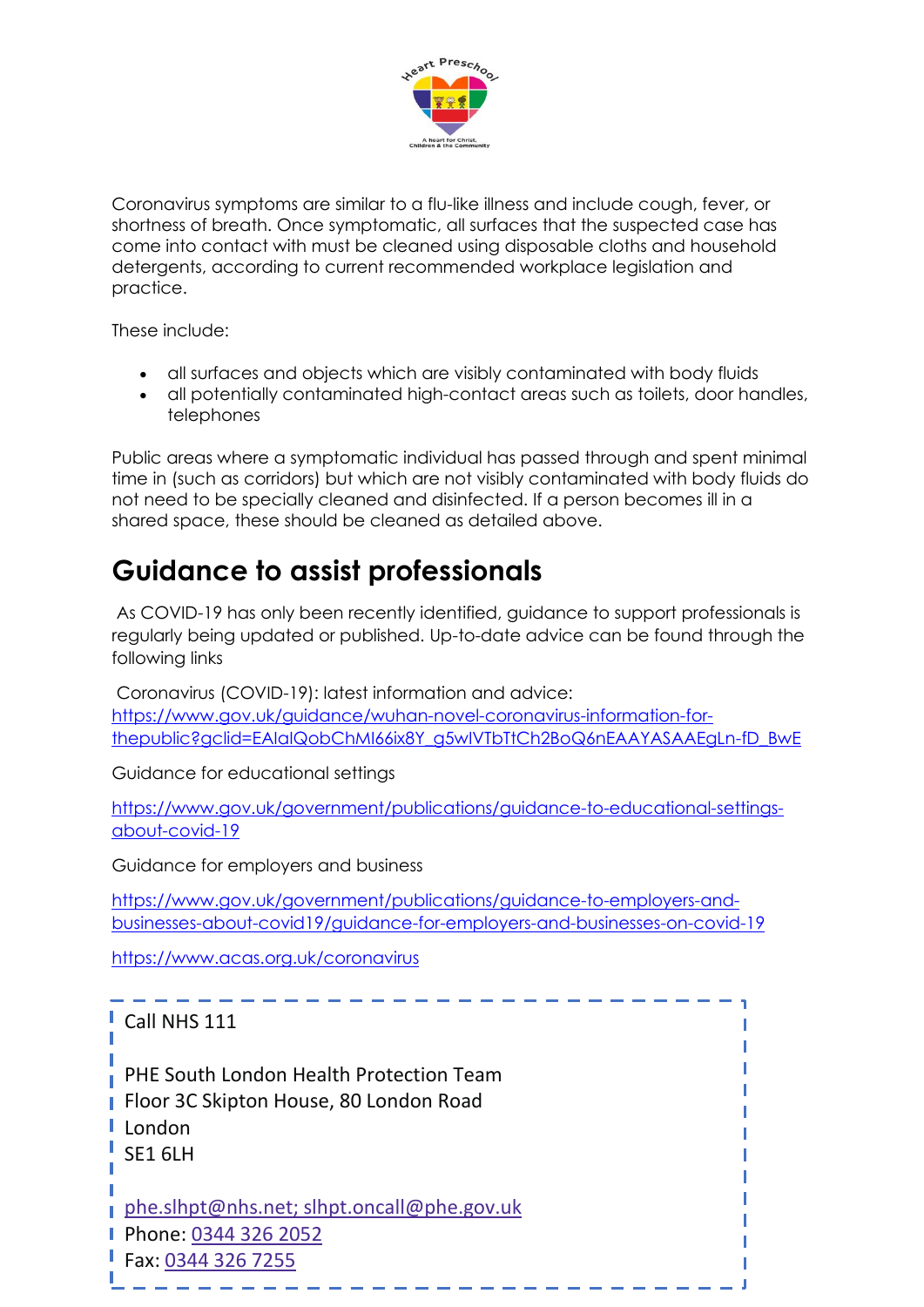

Coronavirus symptoms are similar to a flu-like illness and include cough, fever, or shortness of breath. Once symptomatic, all surfaces that the suspected case has come into contact with must be cleaned using disposable cloths and household detergents, according to current recommended workplace legislation and practice.

These include:

- all surfaces and objects which are visibly contaminated with body fluids
- all potentially contaminated high-contact areas such as toilets, door handles, telephones

Public areas where a symptomatic individual has passed through and spent minimal time in (such as corridors) but which are not visibly contaminated with body fluids do not need to be specially cleaned and disinfected. If a person becomes ill in a shared space, these should be cleaned as detailed above.

# **Guidance to assist professionals**

As COVID-19 has only been recently identified, guidance to support professionals is regularly being updated or published. Up-to-date advice can be found through the following links

Coronavirus (COVID-19): latest information and advice: [https://www.gov.uk/guidance/wuhan-novel-coronavirus-information-for](https://www.gov.uk/guidance/wuhan-novel-coronavirus-information-for-thepublic?gclid=EAIaIQobChMI66ix8Y_g5wIVTbTtCh2BoQ6nEAAYASAAEgLn-fD_BwE)[thepublic?gclid=EAIaIQobChMI66ix8Y\\_g5wIVTbTtCh2BoQ6nEAAYASAAEgLn-fD\\_BwE](https://www.gov.uk/guidance/wuhan-novel-coronavirus-information-for-thepublic?gclid=EAIaIQobChMI66ix8Y_g5wIVTbTtCh2BoQ6nEAAYASAAEgLn-fD_BwE)

Guidance for educational settings

[https://www.gov.uk/government/publications/guidance-to-educational-settings](https://www.gov.uk/government/publications/guidance-to-educational-settings-about-covid-19)[about-covid-19](https://www.gov.uk/government/publications/guidance-to-educational-settings-about-covid-19)

Guidance for employers and business

[https://www.gov.uk/government/publications/guidance-to-employers-and](https://www.gov.uk/government/publications/guidance-to-employers-and-businesses-about-covid19/guidance-for-employers-and-businesses-on-covid-19)[businesses-about-covid19/guidance-for-employers-and-businesses-on-covid-19](https://www.gov.uk/government/publications/guidance-to-employers-and-businesses-about-covid19/guidance-for-employers-and-businesses-on-covid-19)

<https://www.acas.org.uk/coronavirus>

| Call NHS 111                                                                                                                |
|-----------------------------------------------------------------------------------------------------------------------------|
| PHE South London Health Protection Team<br><b>Floor 3C Skipton House, 80 London Road</b><br>London<br>$\frac{1}{2}$ SE1 6LH |
| phe.slhpt@nhs.net; slhpt.oncall@phe.gov.uk<br>Phone: 0344 326 2052<br>Fax: 03443267255                                      |